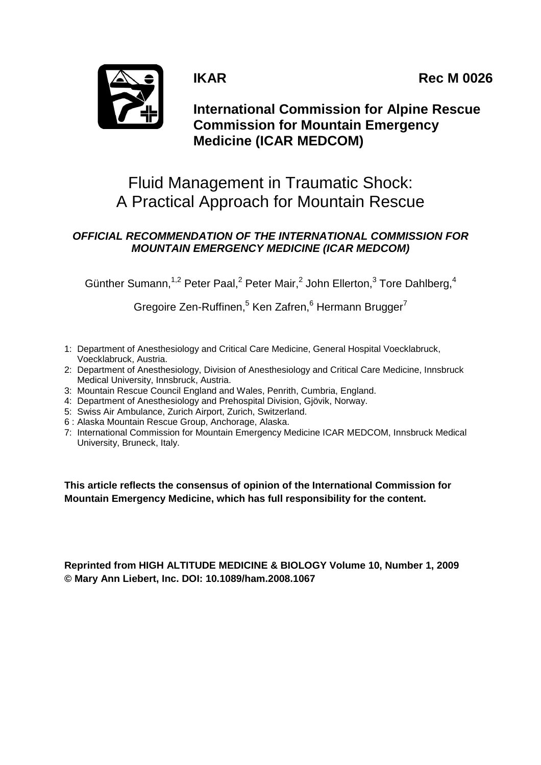**IKAR** Rec M 0026



## **International Commission for Alpine Rescue Commission for Mountain Emergency Medicine (ICAR MEDCOM)**

# Fluid Management in Traumatic Shock: A Practical Approach for Mountain Rescue

### *OFFICIAL RECOMMENDATION OF THE INTERNATIONAL COMMISSION FOR MOUNTAIN EMERGENCY MEDICINE (ICAR MEDCOM)*

Günther Sumann,<sup>1,2</sup> Peter Paal,<sup>2</sup> Peter Mair,<sup>2</sup> John Ellerton,<sup>3</sup> Tore Dahlberg,<sup>4</sup>

Gregoire Zen-Ruffinen,<sup>5</sup> Ken Zafren,<sup>6</sup> Hermann Brugger<sup>7</sup>

- 1: Department of Anesthesiology and Critical Care Medicine, General Hospital Voecklabruck, Voecklabruck, Austria.
- 2: Department of Anesthesiology, Division of Anesthesiology and Critical Care Medicine, Innsbruck Medical University, Innsbruck, Austria.
- 3: Mountain Rescue Council England and Wales, Penrith, Cumbria, England.
- 4: Department of Anesthesiology and Prehospital Division, Gjövik, Norway.
- 5: Swiss Air Ambulance, Zurich Airport, Zurich, Switzerland.
- 6 : Alaska Mountain Rescue Group, Anchorage, Alaska.
- 7: International Commission for Mountain Emergency Medicine ICAR MEDCOM, Innsbruck Medical University, Bruneck, Italy.

**This article reflects the consensus of opinion of the International Commission for Mountain Emergency Medicine, which has full responsibility for the content.**

**Reprinted from HIGH ALTITUDE MEDICINE & BIOLOGY Volume 10, Number 1, 2009 © Mary Ann Liebert, Inc. DOI: 10.1089/ham.2008.1067**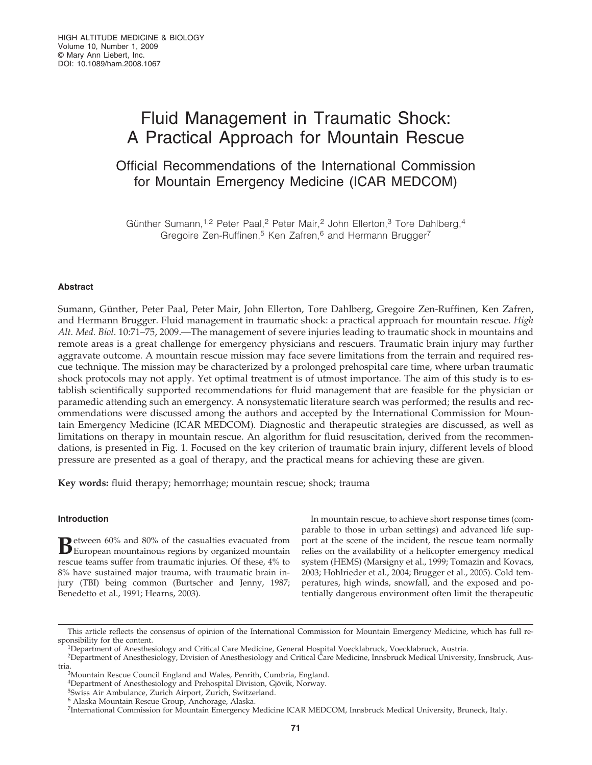## Fluid Management in Traumatic Shock: A Practical Approach for Mountain Rescue

### Official Recommendations of the International Commission for Mountain Emergency Medicine (ICAR MEDCOM)

Günther Sumann,<sup>1,2</sup> Peter Paal,<sup>2</sup> Peter Mair,<sup>2</sup> John Ellerton,<sup>3</sup> Tore Dahlberg,<sup>4</sup> Gregoire Zen-Ruffinen,<sup>5</sup> Ken Zafren,<sup>6</sup> and Hermann Brugger<sup>7</sup>

#### **Abstract**

Sumann, Günther, Peter Paal, Peter Mair, John Ellerton, Tore Dahlberg, Gregoire Zen-Ruffinen, Ken Zafren, and Hermann Brugger. Fluid management in traumatic shock: a practical approach for mountain rescue. *High Alt. Med. Biol*. 10:71–75, 2009.—The management of severe injuries leading to traumatic shock in mountains and remote areas is a great challenge for emergency physicians and rescuers. Traumatic brain injury may further aggravate outcome. A mountain rescue mission may face severe limitations from the terrain and required rescue technique. The mission may be characterized by a prolonged prehospital care time, where urban traumatic shock protocols may not apply. Yet optimal treatment is of utmost importance. The aim of this study is to establish scientifically supported recommendations for fluid management that are feasible for the physician or paramedic attending such an emergency. A nonsystematic literature search was performed; the results and recommendations were discussed among the authors and accepted by the International Commission for Mountain Emergency Medicine (ICAR MEDCOM). Diagnostic and therapeutic strategies are discussed, as well as limitations on therapy in mountain rescue. An algorithm for fluid resuscitation, derived from the recommendations, is presented in Fig. 1. Focused on the key criterion of traumatic brain injury, different levels of blood pressure are presented as a goal of therapy, and the practical means for achieving these are given.

**Key words:** fluid therapy; hemorrhage; mountain rescue; shock; trauma

#### **Introduction**

**B**etween 60% and 80% of the casualties evacuated from<br>European mountainous regions by organized mountain rescue teams suffer from traumatic injuries. Of these, 4% to 8% have sustained major trauma, with traumatic brain injury (TBI) being common (Burtscher and Jenny, 1987; Benedetto et al., 1991; Hearns, 2003).

In mountain rescue, to achieve short response times (comparable to those in urban settings) and advanced life support at the scene of the incident, the rescue team normally relies on the availability of a helicopter emergency medical system (HEMS) (Marsigny et al., 1999; Tomazin and Kovacs, 2003; Hohlrieder et al., 2004; Brugger et al., 2005). Cold temperatures, high winds, snowfall, and the exposed and potentially dangerous environment often limit the therapeutic

This article reflects the consensus of opinion of the International Commission for Mountain Emergency Medicine, which has full re-

<sup>&</sup>lt;sup>1</sup>Department of Anesthesiology and Critical Care Medicine, General Hospital Voecklabruck, Voecklabruck, Austria.

<sup>2</sup>Department of Anesthesiology, Division of Anesthesiology and Critical Care Medicine, Innsbruck Medical University, Innsbruck, Austria.<br><sup>3</sup>Mountain Rescue Council England and Wales, Penrith, Cumbria, England.

<sup>4</sup>Department of Anesthesiology and Prehospital Division, Gjövik, Norway.

<sup>5</sup>Swiss Air Ambulance, Zurich Airport, Zurich, Switzerland.

<sup>6</sup> Alaska Mountain Rescue Group, Anchorage, Alaska.

<sup>7</sup>International Commission for Mountain Emergency Medicine ICAR MEDCOM, Innsbruck Medical University, Bruneck, Italy.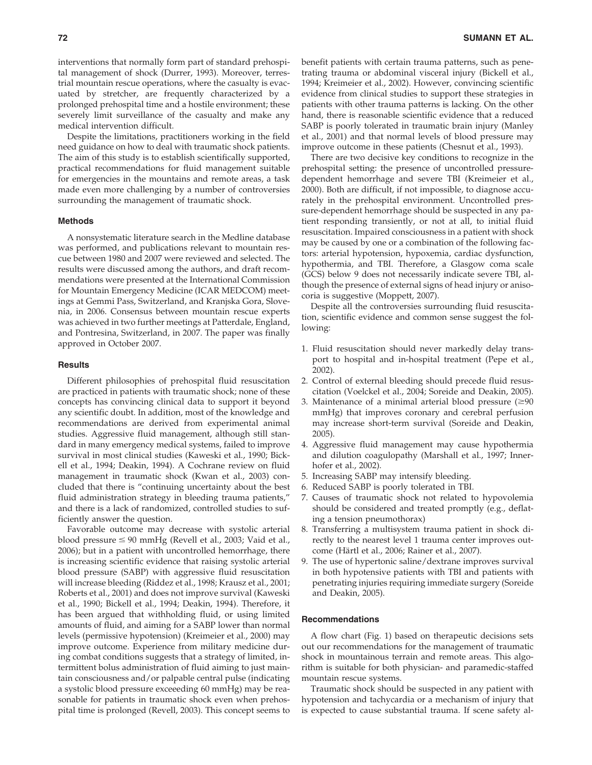interventions that normally form part of standard prehospital management of shock (Durrer, 1993). Moreover, terrestrial mountain rescue operations, where the casualty is evacuated by stretcher, are frequently characterized by a prolonged prehospital time and a hostile environment; these severely limit surveillance of the casualty and make any medical intervention difficult.

Despite the limitations, practitioners working in the field need guidance on how to deal with traumatic shock patients. The aim of this study is to establish scientifically supported, practical recommendations for fluid management suitable for emergencies in the mountains and remote areas, a task made even more challenging by a number of controversies surrounding the management of traumatic shock.

#### **Methods**

A nonsystematic literature search in the Medline database was performed, and publications relevant to mountain rescue between 1980 and 2007 were reviewed and selected. The results were discussed among the authors, and draft recommendations were presented at the International Commission for Mountain Emergency Medicine (ICAR MEDCOM) meetings at Gemmi Pass, Switzerland, and Kranjska Gora, Slovenia, in 2006. Consensus between mountain rescue experts was achieved in two further meetings at Patterdale, England, and Pontresina, Switzerland, in 2007. The paper was finally approved in October 2007.

#### **Results**

Different philosophies of prehospital fluid resuscitation are practiced in patients with traumatic shock; none of these concepts has convincing clinical data to support it beyond any scientific doubt. In addition, most of the knowledge and recommendations are derived from experimental animal studies. Aggressive fluid management, although still standard in many emergency medical systems, failed to improve survival in most clinical studies (Kaweski et al., 1990; Bickell et al., 1994; Deakin, 1994). A Cochrane review on fluid management in traumatic shock (Kwan et al., 2003) concluded that there is "continuing uncertainty about the best fluid administration strategy in bleeding trauma patients," and there is a lack of randomized, controlled studies to sufficiently answer the question.

Favorable outcome may decrease with systolic arterial blood pressure ≤ 90 mmHg (Revell et al., 2003; Vaid et al., 2006); but in a patient with uncontrolled hemorrhage, there is increasing scientific evidence that raising systolic arterial blood pressure (SABP) with aggressive fluid resuscitation will increase bleeding (Riddez et al., 1998; Krausz et al., 2001; Roberts et al., 2001) and does not improve survival (Kaweski et al., 1990; Bickell et al., 1994; Deakin, 1994). Therefore, it has been argued that withholding fluid, or using limited amounts of fluid, and aiming for a SABP lower than normal levels (permissive hypotension) (Kreimeier et al., 2000) may improve outcome. Experience from military medicine during combat conditions suggests that a strategy of limited, intermittent bolus administration of fluid aiming to just maintain consciousness and/or palpable central pulse (indicating a systolic blood pressure exceeeding 60 mmHg) may be reasonable for patients in traumatic shock even when prehospital time is prolonged (Revell, 2003). This concept seems to

benefit patients with certain trauma patterns, such as penetrating trauma or abdominal visceral injury (Bickell et al., 1994; Kreimeier et al., 2002). However, convincing scientific evidence from clinical studies to support these strategies in patients with other trauma patterns is lacking. On the other hand, there is reasonable scientific evidence that a reduced SABP is poorly tolerated in traumatic brain injury (Manley et al., 2001) and that normal levels of blood pressure may improve outcome in these patients (Chesnut et al., 1993).

There are two decisive key conditions to recognize in the prehospital setting: the presence of uncontrolled pressuredependent hemorrhage and severe TBI (Kreimeier et al., 2000). Both are difficult, if not impossible, to diagnose accurately in the prehospital environment. Uncontrolled pressure-dependent hemorrhage should be suspected in any patient responding transiently, or not at all, to initial fluid resuscitation. Impaired consciousness in a patient with shock may be caused by one or a combination of the following factors: arterial hypotension, hypoxemia, cardiac dysfunction, hypothermia, and TBI. Therefore, a Glasgow coma scale (GCS) below 9 does not necessarily indicate severe TBI, although the presence of external signs of head injury or anisocoria is suggestive (Moppett, 2007).

Despite all the controversies surrounding fluid resuscitation, scientific evidence and common sense suggest the following:

- 1. Fluid resuscitation should never markedly delay transport to hospital and in-hospital treatment (Pepe et al., 2002).
- 2. Control of external bleeding should precede fluid resuscitation (Voelckel et al., 2004; Soreide and Deakin, 2005).
- 3. Maintenance of a minimal arterial blood pressure  $(\geq 90)$ mmHg) that improves coronary and cerebral perfusion may increase short-term survival (Soreide and Deakin, 2005).
- 4. Aggressive fluid management may cause hypothermia and dilution coagulopathy (Marshall et al., 1997; Innerhofer et al., 2002).
- 5. Increasing SABP may intensify bleeding.
- 6. Reduced SABP is poorly tolerated in TBI.
- 7. Causes of traumatic shock not related to hypovolemia should be considered and treated promptly (e.g., deflating a tension pneumothorax)
- 8. Transferring a multisystem trauma patient in shock directly to the nearest level 1 trauma center improves outcome (Härtl et al., 2006; Rainer et al., 2007).
- 9. The use of hypertonic saline/dextrane improves survival in both hypotensive patients with TBI and patients with penetrating injuries requiring immediate surgery (Soreide and Deakin, 2005).

#### **Recommendations**

A flow chart (Fig. 1) based on therapeutic decisions sets out our recommendations for the management of traumatic shock in mountainous terrain and remote areas. This algorithm is suitable for both physician- and paramedic-staffed mountain rescue systems.

Traumatic shock should be suspected in any patient with hypotension and tachycardia or a mechanism of injury that is expected to cause substantial trauma. If scene safety al-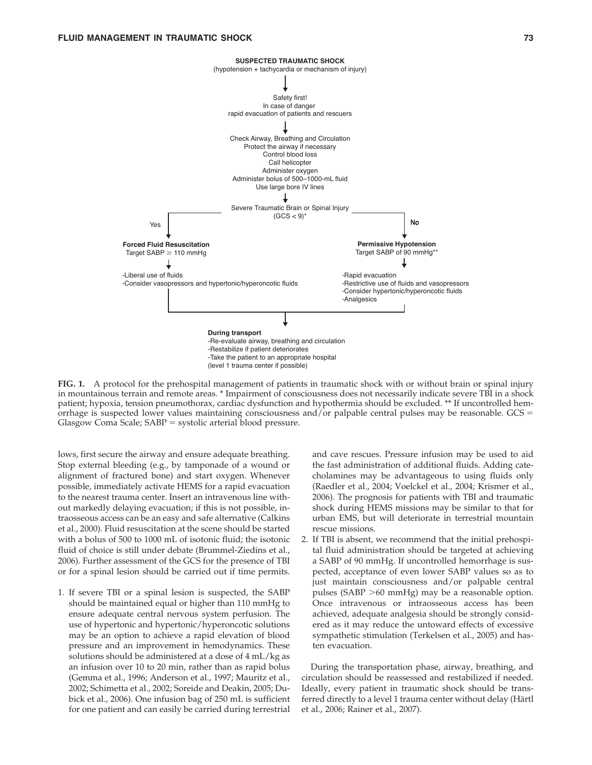

**FIG. 1.** A protocol for the prehospital management of patients in traumatic shock with or without brain or spinal injury in mountainous terrain and remote areas. \* Impairment of consciousness does not necessarily indicate severe TBI in a shock patient; hypoxia, tension pneumothorax, cardiac dysfunction and hypothermia should be excluded. \*\* If uncontrolled hemorrhage is suspected lower values maintaining consciousness and/or palpable central pulses may be reasonable. GCS Glasgow Coma Scale;  $SABP =$  systolic arterial blood pressure.

lows, first secure the airway and ensure adequate breathing. Stop external bleeding (e.g., by tamponade of a wound or alignment of fractured bone) and start oxygen. Whenever possible, immediately activate HEMS for a rapid evacuation to the nearest trauma center. Insert an intravenous line without markedly delaying evacuation; if this is not possible, intraosseous access can be an easy and safe alternative (Calkins et al., 2000). Fluid resuscitation at the scene should be started with a bolus of 500 to 1000 mL of isotonic fluid; the isotonic fluid of choice is still under debate (Brummel-Ziedins et al., 2006). Further assessment of the GCS for the presence of TBI or for a spinal lesion should be carried out if time permits.

1. If severe TBI or a spinal lesion is suspected, the SABP should be maintained equal or higher than 110 mmHg to ensure adequate central nervous system perfusion. The use of hypertonic and hypertonic/hyperoncotic solutions may be an option to achieve a rapid elevation of blood pressure and an improvement in hemodynamics. These solutions should be administered at a dose of 4 mL/kg as an infusion over 10 to 20 min, rather than as rapid bolus (Gemma et al., 1996; Anderson et al., 1997; Mauritz et al., 2002; Schimetta et al., 2002; Soreide and Deakin, 2005; Dubick et al., 2006). One infusion bag of 250 mL is sufficient for one patient and can easily be carried during terrestrial and cave rescues. Pressure infusion may be used to aid the fast administration of additional fluids. Adding catecholamines may be advantageous to using fluids only (Raedler et al., 2004; Voelckel et al., 2004; Krismer et al., 2006). The prognosis for patients with TBI and traumatic shock during HEMS missions may be similar to that for urban EMS, but will deteriorate in terrestrial mountain rescue missions.

2. If TBI is absent, we recommend that the initial prehospital fluid administration should be targeted at achieving a SABP of 90 mmHg. If uncontrolled hemorrhage is suspected, acceptance of even lower SABP values so as to just maintain consciousness and/or palpable central pulses (SABP  $>60$  mmHg) may be a reasonable option. Once intravenous or intraosseous access has been achieved, adequate analgesia should be strongly considered as it may reduce the untoward effects of excessive sympathetic stimulation (Terkelsen et al., 2005) and hasten evacuation.

During the transportation phase, airway, breathing, and circulation should be reassessed and restabilized if needed. Ideally, every patient in traumatic shock should be transferred directly to a level 1 trauma center without delay (Härtl et al., 2006; Rainer et al., 2007).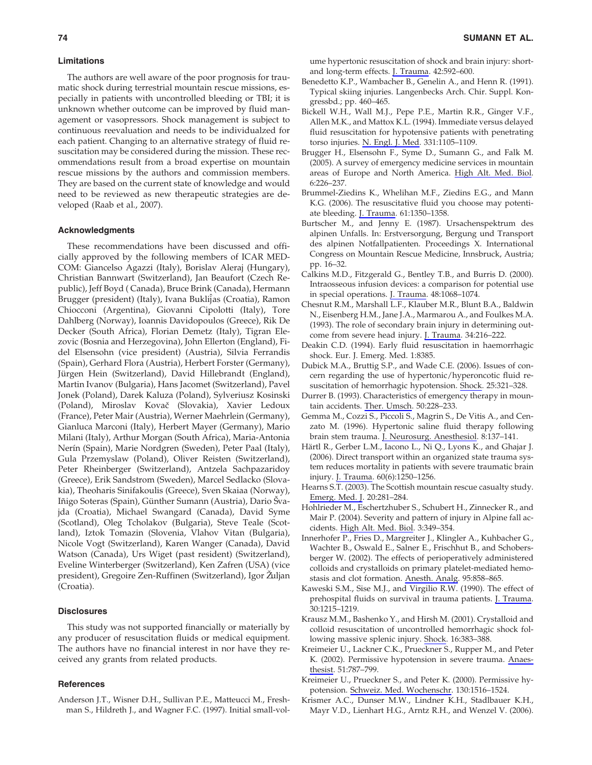#### **Limitations**

The authors are well aware of the poor prognosis for traumatic shock during terrestrial mountain rescue missions, especially in patients with uncontrolled bleeding or TBI; it is unknown whether outcome can be improved by fluid management or vasopressors. Shock management is subject to continuous reevaluation and needs to be individualzed for each patient. Changing to an alternative strategy of fluid resuscitation may be considered during the mission. These recommendations result from a broad expertise on mountain rescue missions by the authors and commission members. They are based on the current state of knowledge and would need to be reviewed as new therapeutic strategies are developed (Raab et al., 2007).

#### **Acknowledgments**

These recommendations have been discussed and officially approved by the following members of ICAR MED-COM: Giancelso Agazzi (Italy), Borislav Aleraj (Hungary), Christian Bannwart (Switzerland), Jan Beaufort (Czech Republic), Jeff Boyd ( Canada), Bruce Brink (Canada), Hermann Brugger (president) (Italy), Ivana Bukliĵas (Croatia), Ramon Chiocconi (Argentina), Giovanni Cipolotti (Italy), Tore Dahlberg (Norway), Ioannis Davidopoulos (Greece), Rik De Decker (South Africa), Florian Demetz (Italy), Tigran Elezovic (Bosnia and Herzegovina), John Ellerton (England), Fidel Elsensohn (vice president) (Austria), Silvia Ferrandis (Spain), Gerhard Flora (Austria), Herbert Forster (Germany), Jürgen Hein (Switzerland), David Hillebrandt (England), Martin Ivanov (Bulgaria), Hans Jacomet (Switzerland), Pavel Jonek (Poland), Darek Kaluza (Poland), Sylveriusz Kosinski (Poland), Miroslav Kovač (Slovakia), Xavier Ledoux (France), Peter Mair (Austria), Werner Maehrlein (Germany), Gianluca Marconi (Italy), Herbert Mayer (Germany), Mario Milani (Italy), Arthur Morgan (South Africa), Maria-Antonia Nerín (Spain), Marie Nordgren (Sweden), Peter Paal (Italy), Gula Przemyslaw (Poland), Oliver Reisten (Switzerland), Peter Rheinberger (Switzerland), Antzela Sachpazaridoy (Greece), Erik Sandstrom (Sweden), Marcel Sedlacko (Slovakia), Theoharis Sinifakoulis (Greece), Sven Skaiaa (Norway), Iñigo Soteras (Spain), Günther Sumann (Austria), Dario Švajda (Croatia), Michael Swangard (Canada), David Syme (Scotland), Oleg Tcholakov (Bulgaria), Steve Teale (Scotland), Iztok Tomazin (Slovenia, Vlahov Vitan (Bulgaria), Nicole Vogt (Switzerland), Karen Wanger (Canada), David Watson (Canada), Urs Wiget (past resident) (Switzerland), Eveline Winterberger (Switzerland), Ken Zafren (USA) (vice president), Gregoire Zen-Ruffinen (Switzerland), Igor Žuljan (Croatia).

#### **Disclosures**

This study was not supported financially or materially by any producer of resuscitation fluids or medical equipment. The authors have no financial interest in nor have they received any grants from related products.

#### **References**

Anderson J.T., Wisner D.H., Sullivan P.E., Matteucci M., Freshman S., Hildreth J., and Wagner F.C. (1997). Initial small-volume hypertonic resuscitation of shock and brain injury: shortand long-term effects. J. Trauma. 42:592–600.

- Benedetto K.P., Wambacher B., Genelin A., and Henn R. (1991). Typical skiing injuries. Langenbecks Arch. Chir. Suppl. Kongressbd.; pp. 460–465.
- Bickell W.H., Wall M.J., Pepe P.E., Martin R.R., Ginger V.F., Allen M.K., and Mattox K.L. (1994). Immediate versus delayed fluid resuscitation for hypotensive patients with penetrating torso injuries. N. Engl. J. Med. 331:1105–1109.
- Brugger H., Elsensohn F., Syme D., Sumann G., and Falk M. (2005). A survey of emergency medicine services in mountain areas of Europe and North America. High Alt. Med. Biol. 6:226–237.
- Brummel-Ziedins K., Whelihan M.F., Ziedins E.G., and Mann K.G. (2006). The resuscitative fluid you choose may potentiate bleeding. J. Trauma. 61:1350–1358.
- Burtscher M., and Jenny E. (1987). Ursachenspektrum des alpinen Unfalls. In: Erstversorgung, Bergung und Transport des alpinen Notfallpatienten. Proceedings X. International Congress on Mountain Rescue Medicine, Innsbruck, Austria; pp. 16–32.
- Calkins M.D., Fitzgerald G., Bentley T.B., and Burris D. (2000). Intraosseous infusion devices: a comparison for potential use in special operations. J. Trauma. 48:1068–1074.
- Chesnut R.M., Marshall L.F., Klauber M.R., Blunt B.A., Baldwin N., Eisenberg H.M., Jane J.A., Marmarou A., and Foulkes M.A. (1993). The role of secondary brain injury in determining outcome from severe head injury. J. Trauma. 34:216–222.
- Deakin C.D. (1994). Early fluid resuscitation in haemorrhagic shock. Eur. J. Emerg. Med. 1:8385.
- Dubick M.A., Bruttig S.P., and Wade C.E. (2006). Issues of concern regarding the use of hypertonic/hyperoncotic fluid resuscitation of hemorrhagic hypotension. Shock. 25:321–328.
- Durrer B. (1993). Characteristics of emergency therapy in mountain accidents. Ther. Umsch. 50:228–233.
- Gemma M., Cozzi S., Piccoli S., Magrin S., De Vitis A., and Cenzato M. (1996). Hypertonic saline fluid therapy following brain stem trauma. J. Neurosurg. Anesthesiol. 8:137–141.
- Härtl R., Gerber L.M., Iacono L., Ni Q., Lyons K., and Ghajar J. (2006). Direct transport within an organized state trauma system reduces mortality in patients with severe traumatic brain injury. J. Trauma. 60(6):1250–1256.
- Hearns S.T. (2003). The Scottish mountain rescue casualty study. Emerg. Med. J. 20:281–284.
- Hohlrieder M., Eschertzhuber S., Schubert H., Zinnecker R., and Mair P. (2004). Severity and pattern of injury in Alpine fall accidents. High Alt. Med. Biol. 3:349–354.
- Innerhofer P., Fries D., Margreiter J., Klingler A., Kuhbacher G., Wachter B., Oswald E., Salner E., Frischhut B., and Schobersberger W. (2002). The effects of perioperatively administered colloids and crystalloids on primary platelet-mediated hemostasis and clot formation. Anesth. Analg. 95:858–865.
- Kaweski S.M., Sise M.J., and Virgilio R.W. (1990). The effect of prehospital fluids on survival in trauma patients. J. Trauma. 30:1215–1219.
- Krausz M.M., Bashenko Y., and Hirsh M. (2001). Crystalloid and colloid resuscitation of uncontrolled hemorrhagic shock following massive splenic injury. Shock. 16:383–388.
- Kreimeier U., Lackner C.K., Prueckner S., Rupper M., and Peter K. (2002). Permissive hypotension in severe trauma. Anaesthesist. 51:787–799.
- Kreimeier U., Prueckner S., and Peter K. (2000). Permissive hypotension. Schweiz. Med. Wochenschr. 130:1516–1524.
- Krismer A.C., Dunser M.W., Lindner K.H., Stadlbauer K.H., Mayr V.D., Lienhart H.G., Arntz R.H., and Wenzel V. (2006).